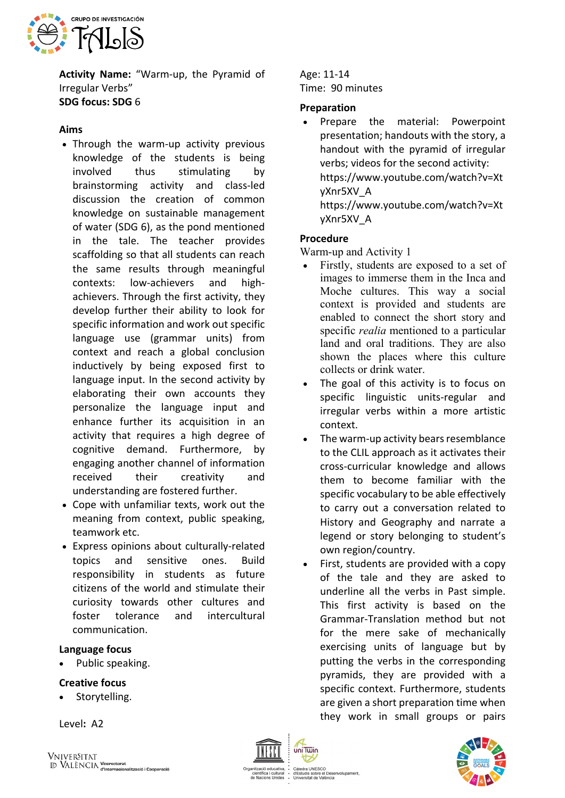

**Activity Name:** "Warm-up, the Pyramid of Irregular Verbs" **SDG focus: SDG** 6

## **Aims**

- Through the warm-up activity previous knowledge of the students is being involved thus stimulating by brainstorming activity and class-led discussion the creation of common knowledge on sustainable management of water (SDG 6), as the pond mentioned in the tale. The teacher provides scaffolding so that all students can reach the same results through meaningful contexts: low-achievers and highachievers. Through the first activity, they develop further their ability to look for specific information and work out specific language use (grammar units) from context and reach a global conclusion inductively by being exposed first to language input. In the second activity by elaborating their own accounts they personalize the language input and enhance further its acquisition in an activity that requires a high degree of cognitive demand. Furthermore, by engaging another channel of information received their creativity and understanding are fostered further.
- Cope with unfamiliar texts, work out the meaning from context, public speaking, teamwork etc.
- Express opinions about culturally-related topics and sensitive ones. Build responsibility in students as future citizens of the world and stimulate their curiosity towards other cultures and foster tolerance and intercultural communication.

### **Language focus**

Public speaking.

## **Creative focus**

Storytelling.

Level**:** A2

#### Age: 11-14 Time: 90 minutes

### **Preparation**

• Prepare the material: Powerpoint presentation; handouts with the story, a handout with the pyramid of irregular verbs; videos for the second activity: https://www.youtube.com/watch?v=Xt yXnr5XV\_A

https://www.youtube.com/watch?v=Xt yXnr5XV\_A

## **Procedure**

Warm-up and Activity 1

- Firstly, students are exposed to a set of images to immerse them in the Inca and Moche cultures. This way a social context is provided and students are enabled to connect the short story and specific *realia* mentioned to a particular land and oral traditions. They are also shown the places where this culture collects or drink water.
- The goal of this activity is to focus on specific linguistic units-regular and irregular verbs within a more artistic context.
- The warm-up activity bears resemblance to the CLIL approach as it activates their cross-curricular knowledge and allows them to become familiar with the specific vocabulary to be able effectively to carry out a conversation related to History and Geography and narrate a legend or story belonging to student's own region/country.
- First, students are provided with a copy of the tale and they are asked to underline all the verbs in Past simple. This first activity is based on the Grammar-Translation method but not for the mere sake of mechanically exercising units of language but by putting the verbs in the corresponding pyramids, they are provided with a specific context. Furthermore, students are given a short preparation time when they work in small groups or pairs



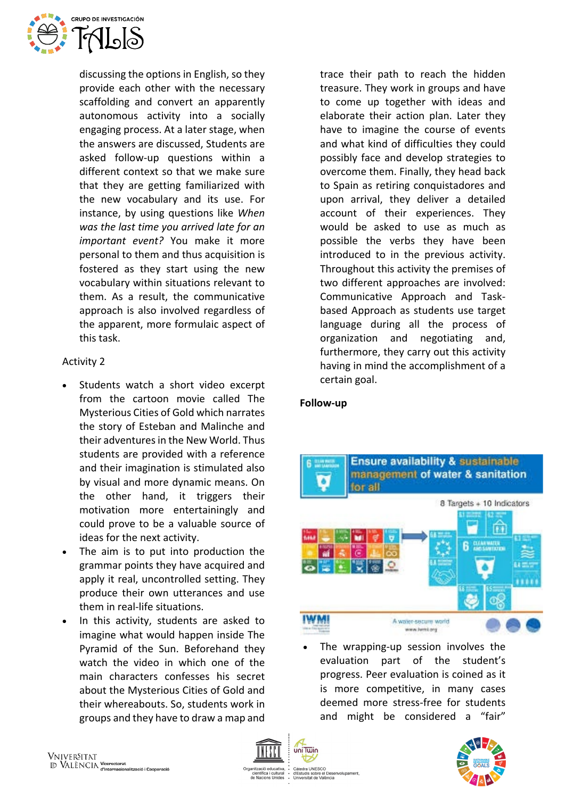

discussing the options in English, so they provide each other with the necessary scaffolding and convert an apparently autonomous activity into a socially engaging process. At a later stage, when the answers are discussed, Students are asked follow-up questions within a different context so that we make sure that they are getting familiarized with the new vocabulary and its use. For instance, by using questions like *When was the last time you arrived late for an important event?* You make it more personal to them and thus acquisition is fostered as they start using the new vocabulary within situations relevant to them. As a result, the communicative approach is also involved regardless of the apparent, more formulaic aspect of this task.

# Activity 2

- Students watch a short video excerpt from the cartoon movie called The Mysterious Cities of Gold which narrates the story of Esteban and Malinche and their adventures in the New World. Thus students are provided with a reference and their imagination is stimulated also by visual and more dynamic means. On the other hand, it triggers their motivation more entertainingly and could prove to be a valuable source of ideas for the next activity.
- The aim is to put into production the grammar points they have acquired and apply it real, uncontrolled setting. They produce their own utterances and use them in real-life situations.
- In this activity, students are asked to imagine what would happen inside The Pyramid of the Sun. Beforehand they watch the video in which one of the main characters confesses his secret about the Mysterious Cities of Gold and their whereabouts. So, students work in groups and they have to draw a map and

trace their path to reach the hidden treasure. They work in groups and have to come up together with ideas and elaborate their action plan. Later they have to imagine the course of events and what kind of difficulties they could possibly face and develop strategies to overcome them. Finally, they head back to Spain as retiring conquistadores and upon arrival, they deliver a detailed account of their experiences. They would be asked to use as much as possible the verbs they have been introduced to in the previous activity. Throughout this activity the premises of two different approaches are involved: Communicative Approach and Taskbased Approach as students use target language during all the process of organization and negotiating and, furthermore, they carry out this activity having in mind the accomplishment of a certain goal.

## **Follow-up**



The wrapping-up session involves the evaluation part of the student's progress. Peer evaluation is coined as it is more competitive, in many cases deemed more stress-free for students and might be considered a "fair"



idis sobre el Des<br>rsitat de València